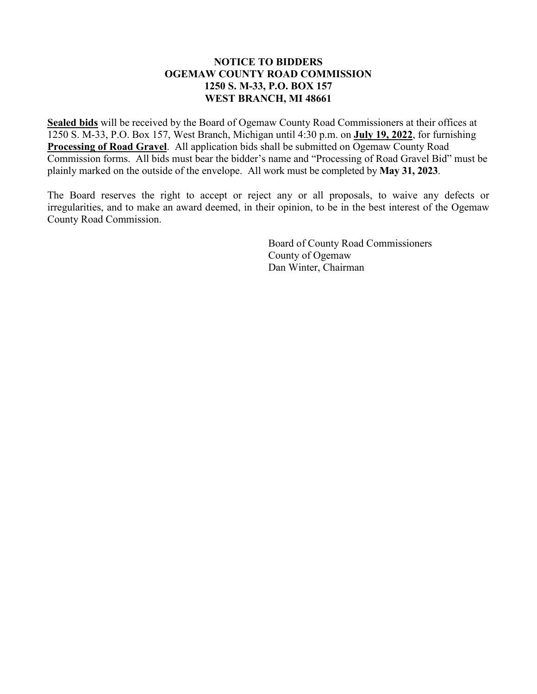# **NOTICE TO BIDDERS OGEMAW COUNTY ROAD COMMISSION 1250 S. M-33, P.O. BOX 157 WEST BRANCH, MI 48661**

**Sealed bids** will be received by the Board of Ogemaw County Road Commissioners at their offices at 1250 S. M-33, P.O. Box 157, West Branch, Michigan until 4:30 p.m. on **July 19, 2022**, for furnishing **Processing of Road Gravel**. All application bids shall be submitted on Ogemaw County Road Commission forms. All bids must bear the bidder's name and "Processing of Road Gravel Bid" must be plainly marked on the outside of the envelope. All work must be completed by **May 31, 2023**.

The Board reserves the right to accept or reject any or all proposals, to waive any defects or irregularities, and to make an award deemed, in their opinion, to be in the best interest of the Ogemaw County Road Commission.

> Board of County Road Commissioners County of Ogemaw Dan Winter, Chairman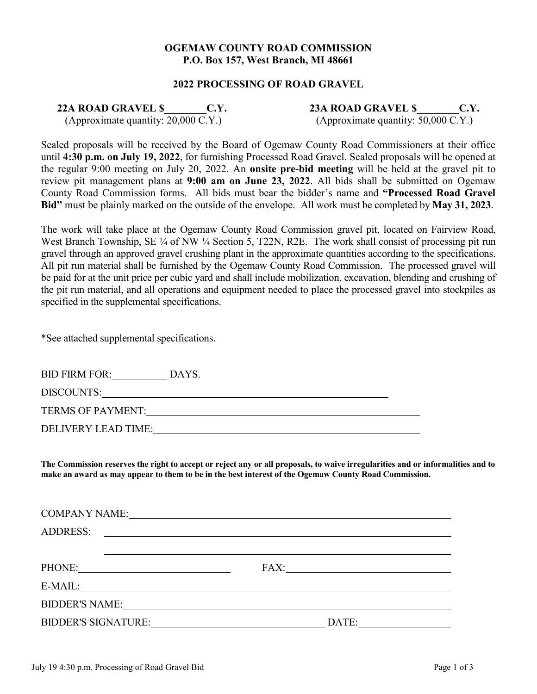## **OGEMAW COUNTY ROAD COMMISSION P.O. Box 157, West Branch, MI 48661**

#### **2022 PROCESSING OF ROAD GRAVEL**

**22A ROAD GRAVEL \$\_\_\_\_\_\_\_\_C.Y. 23A ROAD GRAVEL \$\_\_\_\_\_\_\_\_C.Y.**

(Approximate quantity: 20,000 C.Y.)

(Approximate quantity: 50,000 C.Y.)

Sealed proposals will be received by the Board of Ogemaw County Road Commissioners at their office until **4:30 p.m. on July 19, 2022**, for furnishing Processed Road Gravel. Sealed proposals will be opened at the regular 9:00 meeting on July 20, 2022. An **onsite pre-bid meeting** will be held at the gravel pit to review pit management plans at **9:00 am on June 23, 2022**. All bids shall be submitted on Ogemaw County Road Commission forms. All bids must bear the bidder's name and **"Processed Road Gravel Bid"** must be plainly marked on the outside of the envelope. All work must be completed by **May 31, 2023**.

The work will take place at the Ogemaw County Road Commission gravel pit, located on Fairview Road, West Branch Township, SE ¼ of NW ¼ Section 5, T22N, R2E. The work shall consist of processing pit run gravel through an approved gravel crushing plant in the approximate quantities according to the specifications. All pit run material shall be furnished by the Ogemaw County Road Commission. The processed gravel will be paid for at the unit price per cubic yard and shall include mobilization, excavation, blending and crushing of the pit run material, and all operations and equipment needed to place the processed gravel into stockpiles as specified in the supplemental specifications.

\*See attached supplemental specifications.

| <b>BID FIRM FOR:</b>     | DAYS. |  |
|--------------------------|-------|--|
| DISCOUNTS:               |       |  |
| <b>TERMS OF PAYMENT:</b> |       |  |
| DELIVERY LEAD TIME:      |       |  |

**The Commission reserves the right to accept or reject any or all proposals, to waive irregularities and or informalities and to make an award as may appear to them to be in the best interest of the Ogemaw County Road Commission.**

| <b>ADDRESS:</b>                                                                                                                                                                                                                | <u> 1989 - Andrea Andrew Maria (h. 1989).</u> |
|--------------------------------------------------------------------------------------------------------------------------------------------------------------------------------------------------------------------------------|-----------------------------------------------|
|                                                                                                                                                                                                                                |                                               |
| PHONE: Department of the state of the state of the state of the state of the state of the state of the state of the state of the state of the state of the state of the state of the state of the state of the state of the st | FAX:                                          |
|                                                                                                                                                                                                                                |                                               |
|                                                                                                                                                                                                                                |                                               |
| <b>BIDDER'S SIGNATURE:</b>                                                                                                                                                                                                     | DATE:                                         |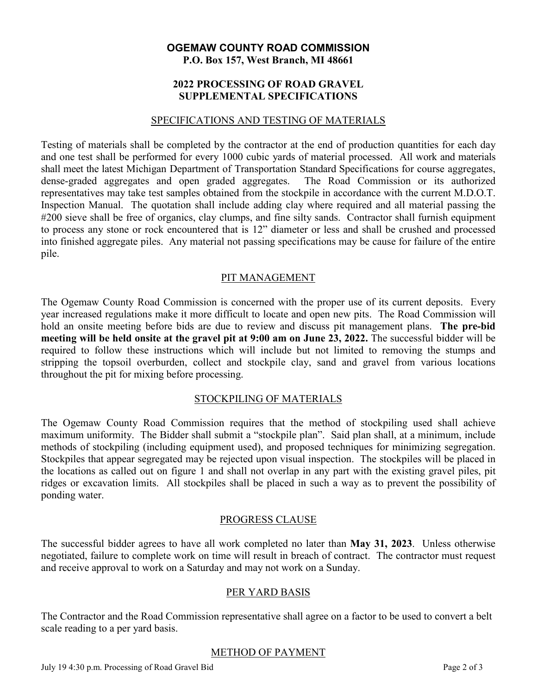# **OGEMAW COUNTY ROAD COMMISSION P.O. Box 157, West Branch, MI 48661**

# **2022 PROCESSING OF ROAD GRAVEL SUPPLEMENTAL SPECIFICATIONS**

#### SPECIFICATIONS AND TESTING OF MATERIALS

Testing of materials shall be completed by the contractor at the end of production quantities for each day and one test shall be performed for every 1000 cubic yards of material processed. All work and materials shall meet the latest Michigan Department of Transportation Standard Specifications for course aggregates, dense-graded aggregates and open graded aggregates. The Road Commission or its authorized representatives may take test samples obtained from the stockpile in accordance with the current M.D.O.T. Inspection Manual. The quotation shall include adding clay where required and all material passing the #200 sieve shall be free of organics, clay clumps, and fine silty sands. Contractor shall furnish equipment to process any stone or rock encountered that is 12" diameter or less and shall be crushed and processed into finished aggregate piles. Any material not passing specifications may be cause for failure of the entire pile.

# PIT MANAGEMENT

The Ogemaw County Road Commission is concerned with the proper use of its current deposits. Every year increased regulations make it more difficult to locate and open new pits. The Road Commission will hold an onsite meeting before bids are due to review and discuss pit management plans. **The pre-bid meeting will be held onsite at the gravel pit at 9:00 am on June 23, 2022.** The successful bidder will be required to follow these instructions which will include but not limited to removing the stumps and stripping the topsoil overburden, collect and stockpile clay, sand and gravel from various locations throughout the pit for mixing before processing.

### STOCKPILING OF MATERIALS

The Ogemaw County Road Commission requires that the method of stockpiling used shall achieve maximum uniformity. The Bidder shall submit a "stockpile plan". Said plan shall, at a minimum, include methods of stockpiling (including equipment used), and proposed techniques for minimizing segregation. Stockpiles that appear segregated may be rejected upon visual inspection. The stockpiles will be placed in the locations as called out on figure 1 and shall not overlap in any part with the existing gravel piles, pit ridges or excavation limits. All stockpiles shall be placed in such a way as to prevent the possibility of ponding water.

### PROGRESS CLAUSE

The successful bidder agrees to have all work completed no later than **May 31, 2023**. Unless otherwise negotiated, failure to complete work on time will result in breach of contract. The contractor must request and receive approval to work on a Saturday and may not work on a Sunday.

### PER YARD BASIS

The Contractor and the Road Commission representative shall agree on a factor to be used to convert a belt scale reading to a per yard basis.

### METHOD OF PAYMENT